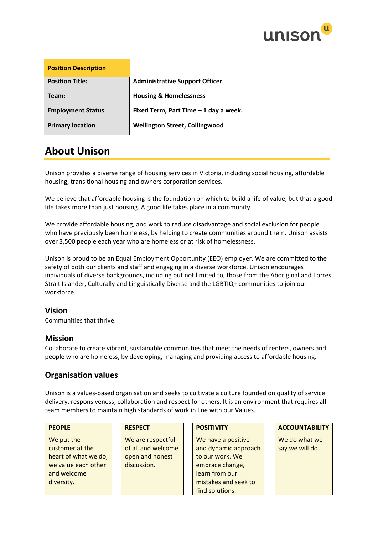

| <b>Position Description</b> |                                       |
|-----------------------------|---------------------------------------|
| <b>Position Title:</b>      | <b>Administrative Support Officer</b> |
| Team:                       | <b>Housing &amp; Homelessness</b>     |
| <b>Employment Status</b>    | Fixed Term, Part Time - 1 day a week. |
| <b>Primary location</b>     | <b>Wellington Street, Collingwood</b> |

## **About Unison**

Unison provides a diverse range of housing services in Victoria, including social housing, affordable housing, transitional housing and owners corporation services.

We believe that affordable housing is the foundation on which to build a life of value, but that a good life takes more than just housing. A good life takes place in a community.

We provide affordable housing, and work to reduce disadvantage and social exclusion for people who have previously been homeless, by helping to create communities around them. Unison assists over 3,500 people each year who are homeless or at risk of homelessness.

Unison is proud to be an Equal Employment Opportunity (EEO) employer. We are committed to the safety of both our clients and staff and engaging in a diverse workforce. Unison encourages individuals of diverse backgrounds, including but not limited to, those from the Aboriginal and Torres Strait Islander, Culturally and Linguistically Diverse and the LGBTIQ+ communities to join our workforce.

## **Vision**

Communities that thrive.

## **Mission**

Collaborate to create vibrant, sustainable communities that meet the needs of renters, owners and people who are homeless, by developing, managing and providing access to affordable housing.

## **Organisation values**

Unison is a values-based organisation and seeks to cultivate a culture founded on quality of service delivery, responsiveness, collaboration and respect for others. It is an environment that requires all team members to maintain high standards of work in line with our Values.

We put the customer at the heart of what we do, we value each other and welcome diversity.

We are respectful of all and welcome open and honest discussion.

We have a positive and dynamic approach to our work. We embrace change, learn from our mistakes and seek to find solutions.

**PEOPLE RESPECT POSITIVITY ACCOUNTABILITY**

We do what we say we will do.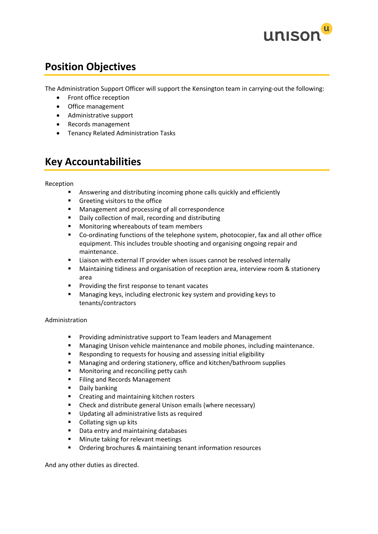

## **Position Objectives**

The Administration Support Officer will support the Kensington team in carrying-out the following:

- Front office reception
- Office management
- Administrative support
- Records management
- Tenancy Related Administration Tasks

## **Key Accountabilities**

### Reception

- Answering and distributing incoming phone calls quickly and efficiently
- Greeting visitors to the office
- Management and processing of all correspondence
- Daily collection of mail, recording and distributing
- Monitoring whereabouts of team members
- Co-ordinating functions of the telephone system, photocopier, fax and all other office equipment. This includes trouble shooting and organising ongoing repair and maintenance.
- Liaison with external IT provider when issues cannot be resolved internally
- Maintaining tidiness and organisation of reception area, interview room & stationery area
- Providing the first response to tenant vacates
- Managing keys, including electronic key system and providing keys to tenants/contractors

### Administration

- Providing administrative support to Team leaders and Management
- Managing Unison vehicle maintenance and mobile phones, including maintenance.
- Responding to requests for housing and assessing initial eligibility
- Managing and ordering stationery, office and kitchen/bathroom supplies
- Monitoring and reconciling petty cash
- Filing and Records Management
- Daily banking
- Creating and maintaining kitchen rosters
- Check and distribute general Unison emails (where necessary)
- Updating all administrative lists as required
- Collating sign up kits
- Data entry and maintaining databases
- Minute taking for relevant meetings
- Ordering brochures & maintaining tenant information resources

And any other duties as directed.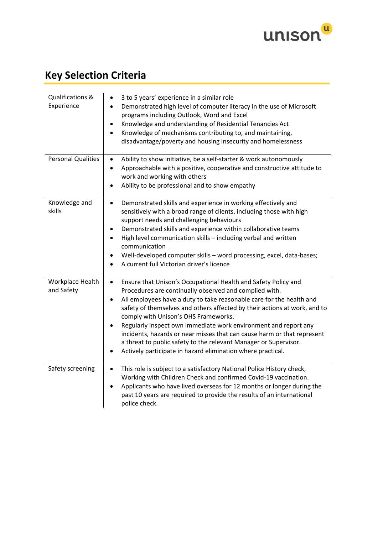

# **Key Selection Criteria**

| Qualifications &<br>Experience | 3 to 5 years' experience in a similar role<br>Demonstrated high level of computer literacy in the use of Microsoft<br>$\bullet$<br>programs including Outlook, Word and Excel<br>Knowledge and understanding of Residential Tenancies Act<br>٠<br>Knowledge of mechanisms contributing to, and maintaining,<br>$\bullet$<br>disadvantage/poverty and housing insecurity and homelessness                                                                                                                                                                                                                                                      |
|--------------------------------|-----------------------------------------------------------------------------------------------------------------------------------------------------------------------------------------------------------------------------------------------------------------------------------------------------------------------------------------------------------------------------------------------------------------------------------------------------------------------------------------------------------------------------------------------------------------------------------------------------------------------------------------------|
| <b>Personal Qualities</b>      | Ability to show initiative, be a self-starter & work autonomously<br>$\bullet$<br>Approachable with a positive, cooperative and constructive attitude to<br>$\bullet$<br>work and working with others<br>Ability to be professional and to show empathy                                                                                                                                                                                                                                                                                                                                                                                       |
| Knowledge and<br>skills        | Demonstrated skills and experience in working effectively and<br>$\bullet$<br>sensitively with a broad range of clients, including those with high<br>support needs and challenging behaviours<br>Demonstrated skills and experience within collaborative teams<br>$\bullet$<br>High level communication skills - including verbal and written<br>$\bullet$<br>communication<br>Well-developed computer skills - word processing, excel, data-bases;<br>$\bullet$<br>A current full Victorian driver's licence<br>$\bullet$                                                                                                                   |
| Workplace Health<br>and Safety | Ensure that Unison's Occupational Health and Safety Policy and<br>$\bullet$<br>Procedures are continually observed and complied with.<br>All employees have a duty to take reasonable care for the health and<br>$\bullet$<br>safety of themselves and others affected by their actions at work, and to<br>comply with Unison's OHS Frameworks.<br>Regularly inspect own immediate work environment and report any<br>incidents, hazards or near misses that can cause harm or that represent<br>a threat to public safety to the relevant Manager or Supervisor.<br>Actively participate in hazard elimination where practical.<br>$\bullet$ |
| Safety screening               | This role is subject to a satisfactory National Police History check,<br>$\bullet$<br>Working with Children Check and confirmed Covid-19 vaccination.<br>Applicants who have lived overseas for 12 months or longer during the<br>$\bullet$<br>past 10 years are required to provide the results of an international<br>police check.                                                                                                                                                                                                                                                                                                         |